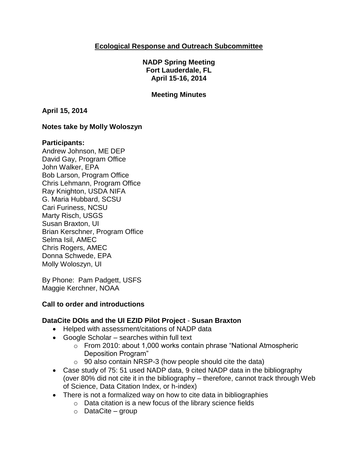### **Ecological Response and Outreach Subcommittee**

**NADP Spring Meeting Fort Lauderdale, FL April 15-16, 2014**

#### **Meeting Minutes**

**April 15, 2014**

#### **Notes take by Molly Woloszyn**

#### **Participants:**

Andrew Johnson, ME DEP David Gay, Program Office John Walker, EPA Bob Larson, Program Office Chris Lehmann, Program Office Ray Knighton, USDA NIFA G. Maria Hubbard, SCSU Cari Furiness, NCSU Marty Risch, USGS Susan Braxton, UI Brian Kerschner, Program Office Selma Isil, AMEC Chris Rogers, AMEC Donna Schwede, EPA Molly Woloszyn, UI

By Phone: Pam Padgett, USFS Maggie Kerchner, NOAA

#### **Call to order and introductions**

#### **DataCite DOIs and the UI EZID Pilot Project** - **Susan Braxton**

- Helped with assessment/citations of NADP data
- Google Scholar searches within full text
	- o From 2010: about 1,000 works contain phrase "National Atmospheric Deposition Program"
	- $\circ$  90 also contain NRSP-3 (how people should cite the data)
- Case study of 75: 51 used NADP data, 9 cited NADP data in the bibliography (over 80% did not cite it in the bibliography – therefore, cannot track through Web of Science, Data Citation Index, or h-index)
- There is not a formalized way on how to cite data in bibliographies
	- o Data citation is a new focus of the library science fields
	- o DataCite group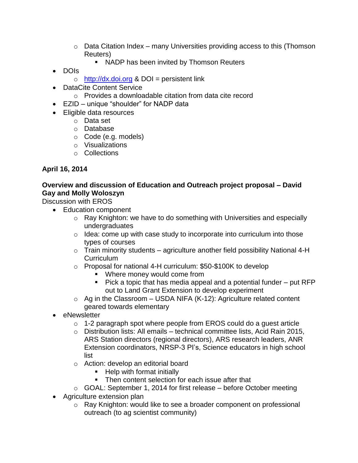- $\circ$  Data Citation Index many Universities providing access to this (Thomson Reuters)
	- NADP has been invited by Thomson Reuters
- DOIs
	- $\circ$  [http://dx.doi.org](http://dx.doi.org/) & DOI = persistent link
- DataCite Content Service
	- o Provides a downloadable citation from data cite record
- EZID unique "shoulder" for NADP data
- Eligible data resources
	- o Data set
	- o Database
	- o Code (e.g. models)
	- o Visualizations
	- o Collections

### **April 16, 2014**

### **Overview and discussion of Education and Outreach project proposal – David Gay and Molly Woloszyn**

Discussion with EROS

- Education component
	- o Ray Knighton: we have to do something with Universities and especially undergraduates
	- $\circ$  Idea: come up with case study to incorporate into curriculum into those types of courses
	- $\circ$  Train minority students agriculture another field possibility National 4-H **Curriculum**
	- o Proposal for national 4-H curriculum: \$50-\$100K to develop
		- **Where money would come from**
		- Pick a topic that has media appeal and a potential funder put RFP out to Land Grant Extension to develop experiment
	- $\circ$  Ag in the Classroom USDA NIFA (K-12): Agriculture related content geared towards elementary
- eNewsletter
	- o 1-2 paragraph spot where people from EROS could do a guest article
	- o Distribution lists: All emails technical committee lists, Acid Rain 2015, ARS Station directors (regional directors), ARS research leaders, ANR Extension coordinators, NRSP-3 PI's, Science educators in high school list
	- o Action: develop an editorial board
		- Help with format initially
		- Then content selection for each issue after that
	- o GOAL: September 1, 2014 for first release before October meeting
- Agriculture extension plan
	- o Ray Knighton: would like to see a broader component on professional outreach (to ag scientist community)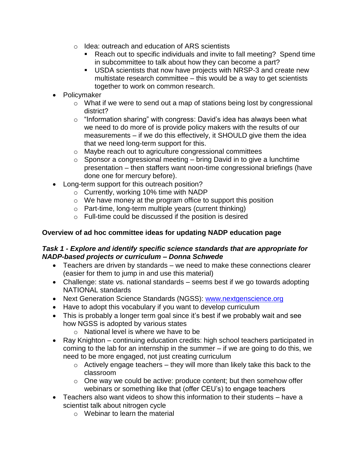- o Idea: outreach and education of ARS scientists
	- Reach out to specific individuals and invite to fall meeting? Spend time in subcommittee to talk about how they can become a part?
	- USDA scientists that now have projects with NRSP-3 and create new multistate research committee – this would be a way to get scientists together to work on common research.
- Policymaker
	- o What if we were to send out a map of stations being lost by congressional district?
	- o "Information sharing" with congress: David's idea has always been what we need to do more of is provide policy makers with the results of our measurements – if we do this effectively, it SHOULD give them the idea that we need long-term support for this.
	- o Maybe reach out to agriculture congressional committees
	- $\circ$  Sponsor a congressional meeting bring David in to give a lunchtime presentation – then staffers want noon-time congressional briefings (have done one for mercury before).
- Long-term support for this outreach position?
	- o Currently, working 10% time with NADP
	- o We have money at the program office to support this position
	- o Part-time, long-term multiple years (current thinking)
	- o Full-time could be discussed if the position is desired

### **Overview of ad hoc committee ideas for updating NADP education page**

### *Task 1 - Explore and identify specific science standards that are appropriate for NADP-based projects or curriculum – Donna Schwede*

- Teachers are driven by standards we need to make these connections clearer (easier for them to jump in and use this material)
- Challenge: state vs. national standards seems best if we go towards adopting NATIONAL standards
- Next Generation Science Standards (NGSS): [www.nextgenscience.org](http://www.nextgenscience.org/)
- Have to adopt this vocabulary if you want to develop curriculum
- This is probably a longer term goal since it's best if we probably wait and see how NGSS is adopted by various states
	- o National level is where we have to be
- Ray Knighton continuing education credits: high school teachers participated in coming to the lab for an internship in the summer – if we are going to do this, we need to be more engaged, not just creating curriculum
	- $\circ$  Actively engage teachers they will more than likely take this back to the classroom
	- $\circ$  One way we could be active: produce content; but then somehow offer webinars or something like that (offer CEU's) to engage teachers
- Teachers also want videos to show this information to their students have a scientist talk about nitrogen cycle
	- o Webinar to learn the material